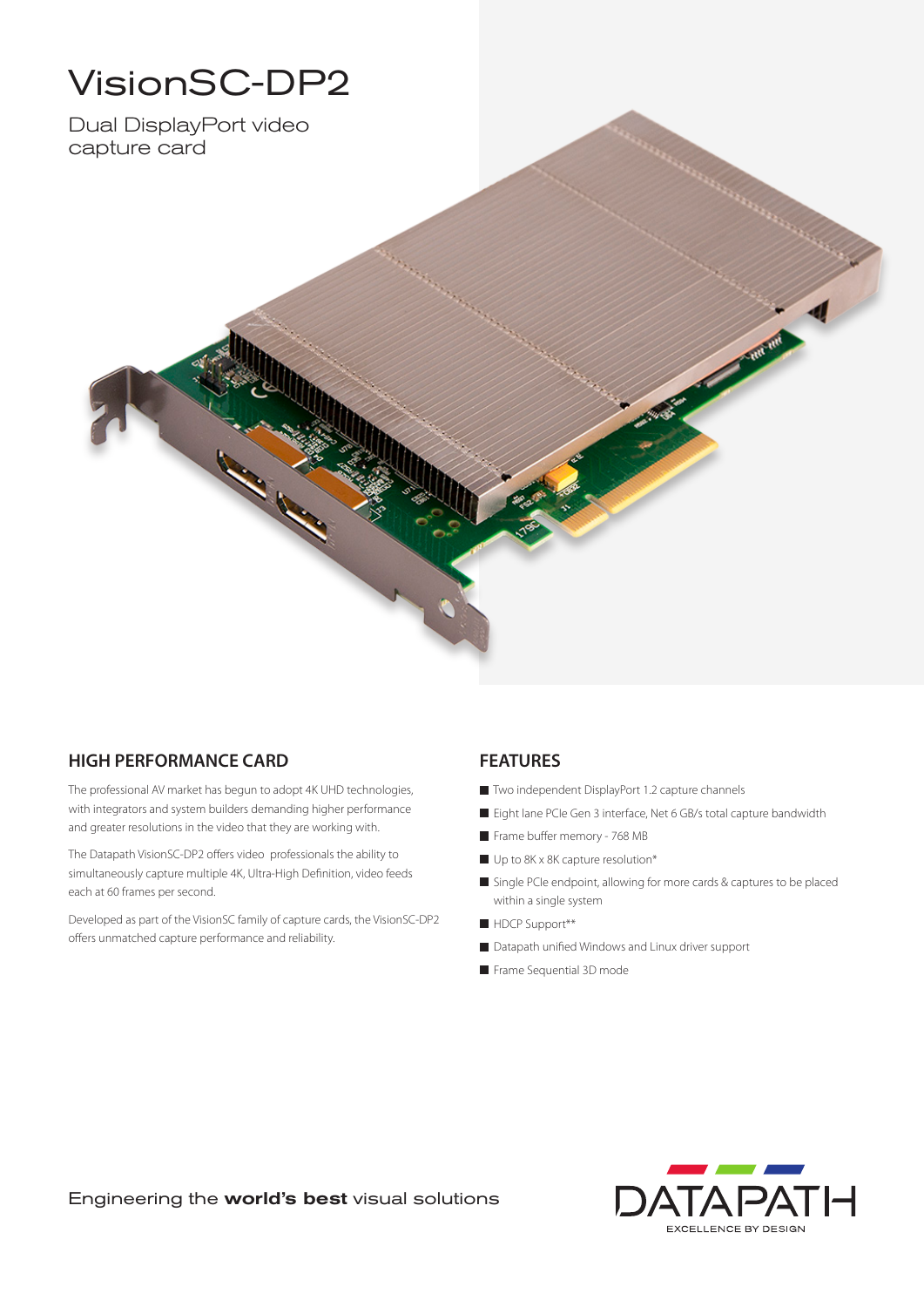# VisionSC-DP2

Dual DisplayPort video capture card



### **HIGH PERFORMANCE CARD**

The professional AV market has begun to adopt 4K UHD technologies, with integrators and system builders demanding higher performance and greater resolutions in the video that they are working with.

The Datapath VisionSC-DP2 offers video professionals the ability to simultaneously capture multiple 4K, Ultra-High Definition, video feeds each at 60 frames per second.

Developed as part of the VisionSC family of capture cards, the VisionSC-DP2 offers unmatched capture performance and reliability.

### **FEATURES**

- Two independent DisplayPort 1.2 capture channels
- Eight lane PCIe Gen 3 interface, Net 6 GB/s total capture bandwidth

**RATION** 

- Frame buffer memory 768 MB
- Up to 8K x 8K capture resolution\*
- Single PCIe endpoint, allowing for more cards & captures to be placed within a single system
- HDCP Support\*\*
- Datapath unified Windows and Linux driver support
- Frame Sequential 3D mode